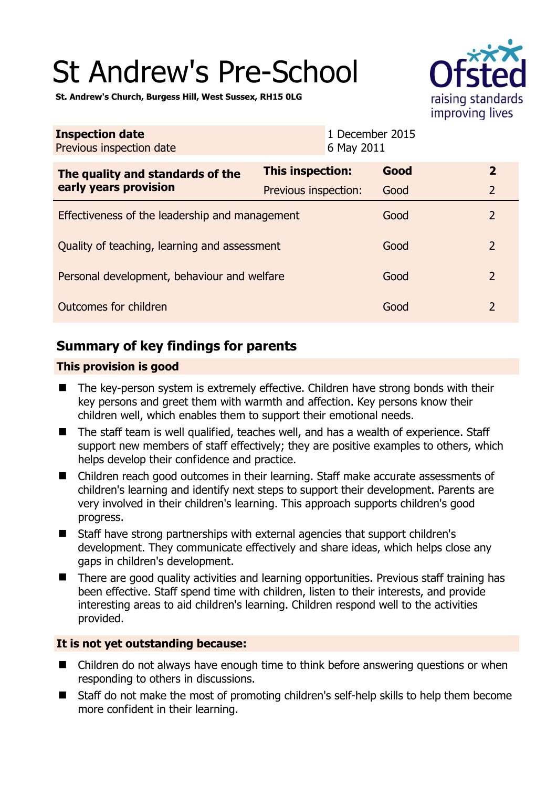# St Andrew's Pre-School



**St. Andrew's Church, Burgess Hill, West Sussex, RH15 0LG** 

| <b>Inspection date</b><br>Previous inspection date        | 6 May 2011              | 1 December 2015 |                |
|-----------------------------------------------------------|-------------------------|-----------------|----------------|
| The quality and standards of the<br>early years provision | <b>This inspection:</b> | Good            | $\overline{2}$ |
|                                                           | Previous inspection:    | Good            | $\overline{2}$ |
| Effectiveness of the leadership and management            |                         | Good            | $\mathcal{P}$  |
| Quality of teaching, learning and assessment              |                         | Good            | $\overline{2}$ |
| Personal development, behaviour and welfare               |                         | Good            | $\overline{2}$ |
| Outcomes for children                                     |                         | Good            | $\overline{2}$ |

# **Summary of key findings for parents**

### **This provision is good**

- The key-person system is extremely effective. Children have strong bonds with their key persons and greet them with warmth and affection. Key persons know their children well, which enables them to support their emotional needs.
- The staff team is well qualified, teaches well, and has a wealth of experience. Staff support new members of staff effectively; they are positive examples to others, which helps develop their confidence and practice.
- Children reach good outcomes in their learning. Staff make accurate assessments of children's learning and identify next steps to support their development. Parents are very involved in their children's learning. This approach supports children's good progress.
- Staff have strong partnerships with external agencies that support children's development. They communicate effectively and share ideas, which helps close any gaps in children's development.
- There are good quality activities and learning opportunities. Previous staff training has been effective. Staff spend time with children, listen to their interests, and provide interesting areas to aid children's learning. Children respond well to the activities provided.

## **It is not yet outstanding because:**

- Children do not always have enough time to think before answering questions or when responding to others in discussions.
- Staff do not make the most of promoting children's self-help skills to help them become more confident in their learning.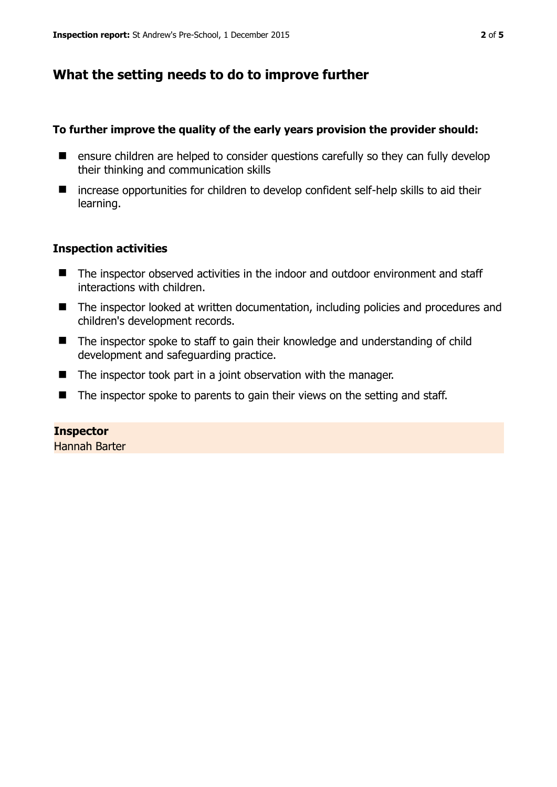# **What the setting needs to do to improve further**

#### **To further improve the quality of the early years provision the provider should:**

- **E** ensure children are helped to consider questions carefully so they can fully develop their thinking and communication skills
- increase opportunities for children to develop confident self-help skills to aid their learning.

#### **Inspection activities**

- The inspector observed activities in the indoor and outdoor environment and staff interactions with children.
- The inspector looked at written documentation, including policies and procedures and children's development records.
- The inspector spoke to staff to gain their knowledge and understanding of child development and safeguarding practice.
- $\blacksquare$  The inspector took part in a joint observation with the manager.
- $\blacksquare$  The inspector spoke to parents to gain their views on the setting and staff.

#### **Inspector**

Hannah Barter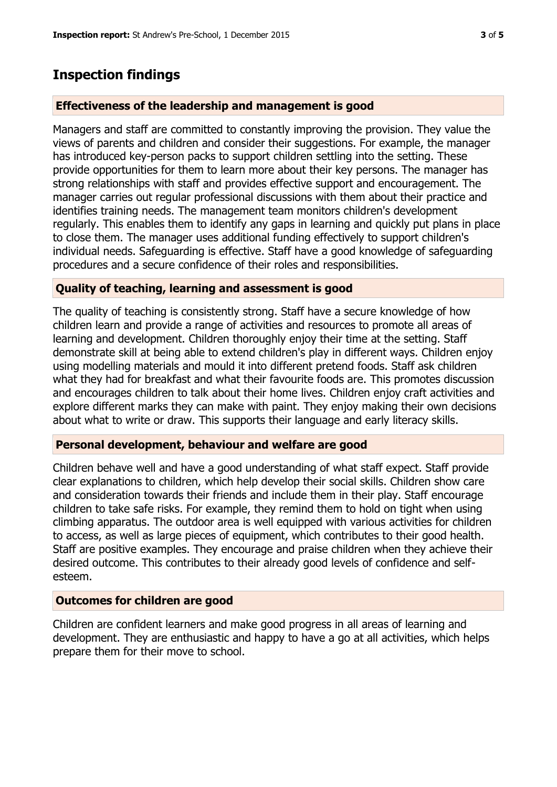## **Inspection findings**

#### **Effectiveness of the leadership and management is good**

Managers and staff are committed to constantly improving the provision. They value the views of parents and children and consider their suggestions. For example, the manager has introduced key-person packs to support children settling into the setting. These provide opportunities for them to learn more about their key persons. The manager has strong relationships with staff and provides effective support and encouragement. The manager carries out regular professional discussions with them about their practice and identifies training needs. The management team monitors children's development regularly. This enables them to identify any gaps in learning and quickly put plans in place to close them. The manager uses additional funding effectively to support children's individual needs. Safeguarding is effective. Staff have a good knowledge of safeguarding procedures and a secure confidence of their roles and responsibilities.

#### **Quality of teaching, learning and assessment is good**

The quality of teaching is consistently strong. Staff have a secure knowledge of how children learn and provide a range of activities and resources to promote all areas of learning and development. Children thoroughly enjoy their time at the setting. Staff demonstrate skill at being able to extend children's play in different ways. Children enjoy using modelling materials and mould it into different pretend foods. Staff ask children what they had for breakfast and what their favourite foods are. This promotes discussion and encourages children to talk about their home lives. Children enjoy craft activities and explore different marks they can make with paint. They enjoy making their own decisions about what to write or draw. This supports their language and early literacy skills.

#### **Personal development, behaviour and welfare are good**

Children behave well and have a good understanding of what staff expect. Staff provide clear explanations to children, which help develop their social skills. Children show care and consideration towards their friends and include them in their play. Staff encourage children to take safe risks. For example, they remind them to hold on tight when using climbing apparatus. The outdoor area is well equipped with various activities for children to access, as well as large pieces of equipment, which contributes to their good health. Staff are positive examples. They encourage and praise children when they achieve their desired outcome. This contributes to their already good levels of confidence and selfesteem.

#### **Outcomes for children are good**

Children are confident learners and make good progress in all areas of learning and development. They are enthusiastic and happy to have a go at all activities, which helps prepare them for their move to school.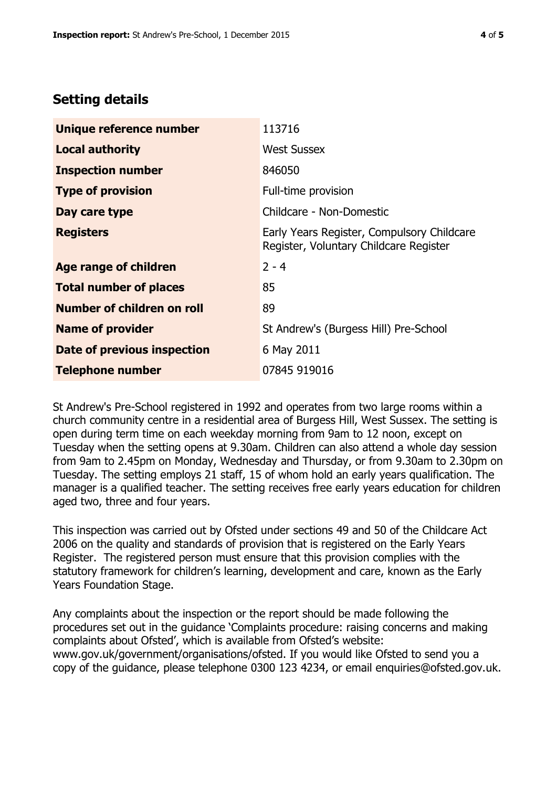# **Setting details**

| Unique reference number       | 113716                                                                               |  |
|-------------------------------|--------------------------------------------------------------------------------------|--|
| <b>Local authority</b>        | <b>West Sussex</b>                                                                   |  |
| <b>Inspection number</b>      | 846050                                                                               |  |
| <b>Type of provision</b>      | Full-time provision                                                                  |  |
| Day care type                 | Childcare - Non-Domestic                                                             |  |
| <b>Registers</b>              | Early Years Register, Compulsory Childcare<br>Register, Voluntary Childcare Register |  |
| <b>Age range of children</b>  | $2 - 4$                                                                              |  |
| <b>Total number of places</b> | 85                                                                                   |  |
| Number of children on roll    | 89                                                                                   |  |
| <b>Name of provider</b>       | St Andrew's (Burgess Hill) Pre-School                                                |  |
| Date of previous inspection   | 6 May 2011                                                                           |  |
| <b>Telephone number</b>       | 07845 919016                                                                         |  |

St Andrew's Pre-School registered in 1992 and operates from two large rooms within a church community centre in a residential area of Burgess Hill, West Sussex. The setting is open during term time on each weekday morning from 9am to 12 noon, except on Tuesday when the setting opens at 9.30am. Children can also attend a whole day session from 9am to 2.45pm on Monday, Wednesday and Thursday, or from 9.30am to 2.30pm on Tuesday. The setting employs 21 staff, 15 of whom hold an early years qualification. The manager is a qualified teacher. The setting receives free early years education for children aged two, three and four years.

This inspection was carried out by Ofsted under sections 49 and 50 of the Childcare Act 2006 on the quality and standards of provision that is registered on the Early Years Register. The registered person must ensure that this provision complies with the statutory framework for children's learning, development and care, known as the Early Years Foundation Stage.

Any complaints about the inspection or the report should be made following the procedures set out in the guidance 'Complaints procedure: raising concerns and making complaints about Ofsted', which is available from Ofsted's website: www.gov.uk/government/organisations/ofsted. If you would like Ofsted to send you a copy of the guidance, please telephone 0300 123 4234, or email enquiries@ofsted.gov.uk.